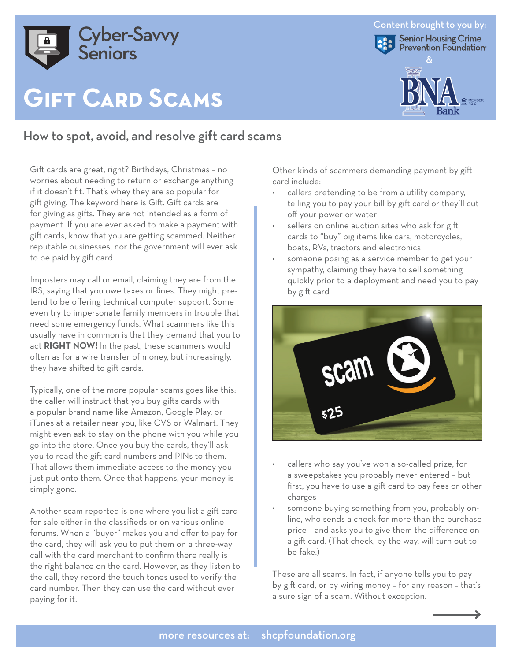

# **Gift Card Scams**

## How to spot, avoid, and resolve gift card scams

Gift cards are great, right? Birthdays, Christmas – no worries about needing to return or exchange anything if it doesn't fit. That's whey they are so popular for gift giving. The keyword here is Gift. Gift cards are for giving as gifts. They are not intended as a form of payment. If you are ever asked to make a payment with gift cards, know that you are getting scammed. Neither reputable businesses, nor the government will ever ask to be paid by gift card.

Imposters may call or email, claiming they are from the IRS, saying that you owe taxes or fines. They might pretend to be offering technical computer support. Some even try to impersonate family members in trouble that need some emergency funds. What scammers like this usually have in common is that they demand that you to act **RIGHT NOW!** In the past, these scammers would often as for a wire transfer of money, but increasingly, they have shifted to gift cards.

Typically, one of the more popular scams goes like this: the caller will instruct that you buy gifts cards with a popular brand name like Amazon, Google Play, or iTunes at a retailer near you, like CVS or Walmart. They might even ask to stay on the phone with you while you go into the store. Once you buy the cards, they'll ask you to read the gift card numbers and PINs to them. That allows them immediate access to the money you just put onto them. Once that happens, your money is simply gone.

Another scam reported is one where you list a gift card for sale either in the classifieds or on various online forums. When a "buyer" makes you and offer to pay for the card, they will ask you to put them on a three-way call with the card merchant to confirm there really is the right balance on the card. However, as they listen to the call, they record the touch tones used to verify the card number. Then they can use the card without ever paying for it.

Other kinds of scammers demanding payment by gift card include:

- callers pretending to be from a utility company, telling you to pay your bill by gift card or they'll cut off your power or water
- sellers on online auction sites who ask for gift cards to "buy" big items like cars, motorcycles, boats, RVs, tractors and electronics
- someone posing as a service member to get your sympathy, claiming they have to sell something quickly prior to a deployment and need you to pay by gift card



- callers who say you've won a so-called prize, for a sweepstakes you probably never entered – but first, you have to use a gift card to pay fees or other charges
- someone buying something from you, probably online, who sends a check for more than the purchase price – and asks you to give them the difference on a gift card. (That check, by the way, will turn out to be fake.)

These are all scams. In fact, if anyone tells you to pay by gift card, or by wiring money – for any reason – that's a sure sign of a scam. Without exception.

#### Content brought to you by: